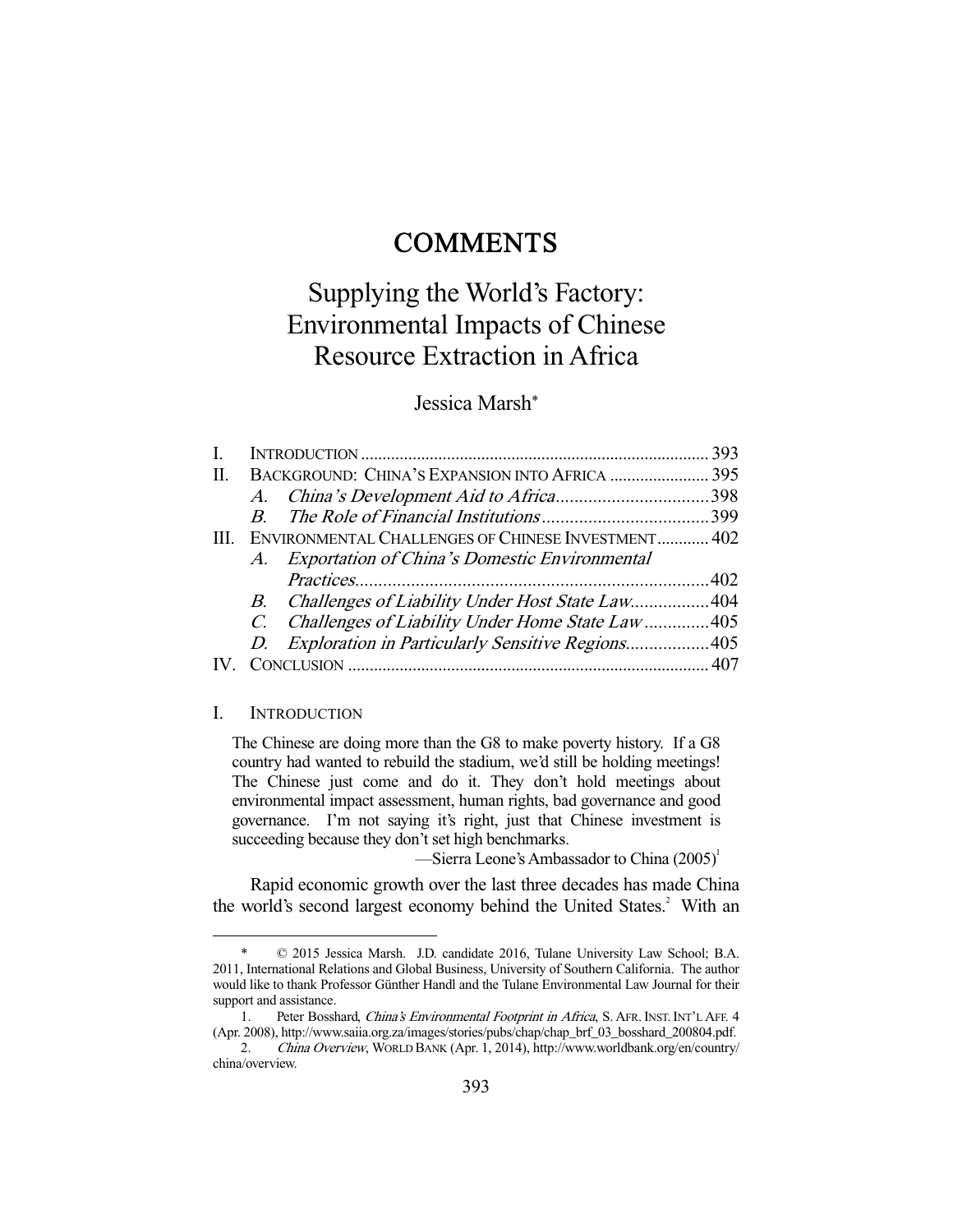## **COMMENTS**

# Supplying the World's Factory: Environmental Impacts of Chinese Resource Extraction in Africa

## Jessica Marsh\*

| I. |                                                |                                                     | 393 |  |
|----|------------------------------------------------|-----------------------------------------------------|-----|--|
| Π. | BACKGROUND: CHINA'S EXPANSION INTO AFRICA  395 |                                                     |     |  |
|    |                                                |                                                     |     |  |
|    |                                                |                                                     |     |  |
| Ш. |                                                | ENVIRONMENTAL CHALLENGES OF CHINESE INVESTMENT 402  |     |  |
|    |                                                | A. Exportation of China's Domestic Environmental    |     |  |
|    |                                                |                                                     |     |  |
|    |                                                | B. Challenges of Liability Under Host State Law404  |     |  |
|    |                                                | C. Challenges of Liability Under Home State Law405  |     |  |
|    |                                                | D. Exploration in Particularly Sensitive Regions405 |     |  |
|    |                                                |                                                     |     |  |
|    |                                                |                                                     |     |  |

#### I. INTRODUCTION

-

The Chinese are doing more than the G8 to make poverty history. If a G8 country had wanted to rebuild the stadium, we'd still be holding meetings! The Chinese just come and do it. They don't hold meetings about environmental impact assessment, human rights, bad governance and good governance. I'm not saying it's right, just that Chinese investment is succeeding because they don't set high benchmarks.

—Sierra Leone's Ambassador to China  $(2005)^1$ 

 Rapid economic growth over the last three decades has made China the world's second largest economy behind the United States.<sup>2</sup> With an

 <sup>\* © 2015</sup> Jessica Marsh. J.D. candidate 2016, Tulane University Law School; B.A. 2011, International Relations and Global Business, University of Southern California. The author would like to thank Professor Günther Handl and the Tulane Environmental Law Journal for their support and assistance.

<sup>1.</sup> Peter Bosshard, China's Environmental Footprint in Africa, S. AFR. INST. INT'L AFF. 4 (Apr. 2008), http://www.saiia.org.za/images/stories/pubs/chap/chap\_brf\_03\_bosshard\_200804.pdf.

 <sup>2.</sup> China Overview, WORLD BANK (Apr. 1, 2014), http://www.worldbank.org/en/country/ china/overview.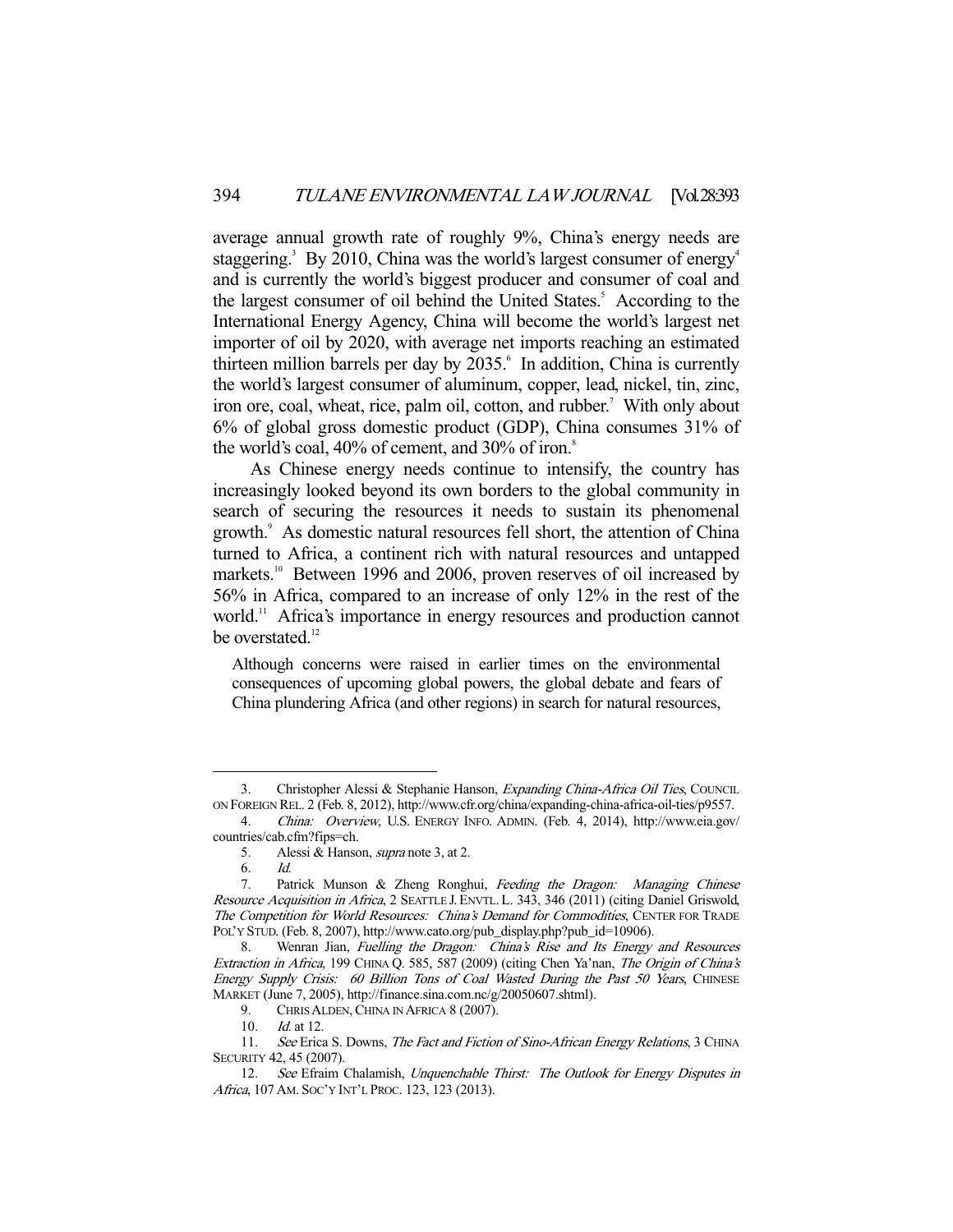average annual growth rate of roughly 9%, China's energy needs are staggering.<sup>3</sup> By 2010, China was the world's largest consumer of energy<sup>4</sup> and is currently the world's biggest producer and consumer of coal and the largest consumer of oil behind the United States.<sup>5</sup> According to the International Energy Agency, China will become the world's largest net importer of oil by 2020, with average net imports reaching an estimated thirteen million barrels per day by 2035.<sup>6</sup> In addition, China is currently the world's largest consumer of aluminum, copper, lead, nickel, tin, zinc, iron ore, coal, wheat, rice, palm oil, cotton, and rubber.<sup>7</sup> With only about 6% of global gross domestic product (GDP), China consumes 31% of the world's coal,  $40\%$  of cement, and  $30\%$  of iron.<sup>8</sup>

 As Chinese energy needs continue to intensify, the country has increasingly looked beyond its own borders to the global community in search of securing the resources it needs to sustain its phenomenal growth.<sup>9</sup> As domestic natural resources fell short, the attention of China turned to Africa, a continent rich with natural resources and untapped markets.<sup>10</sup> Between 1996 and 2006, proven reserves of oil increased by 56% in Africa, compared to an increase of only 12% in the rest of the world.<sup>11</sup> Africa's importance in energy resources and production cannot be overstated.<sup>12</sup>

Although concerns were raised in earlier times on the environmental consequences of upcoming global powers, the global debate and fears of China plundering Africa (and other regions) in search for natural resources,

<sup>3.</sup> Christopher Alessi & Stephanie Hanson, Expanding China-Africa Oil Ties, COUNCIL ON FOREIGN REL. 2 (Feb. 8, 2012), http://www.cfr.org/china/expanding-china-africa-oil-ties/p9557.

<sup>4.</sup> China: Overview, U.S. ENERGY INFO. ADMIN. (Feb. 4, 2014), http://www.eia.gov/ countries/cab.cfm?fips=ch.

<sup>5.</sup> Alessi & Hanson, *supra* note 3, at 2.

 <sup>6.</sup> Id.

<sup>7.</sup> Patrick Munson & Zheng Ronghui, Feeding the Dragon: Managing Chinese Resource Acquisition in Africa, 2 SEATTLE J. ENVTL. L. 343, 346 (2011) (citing Daniel Griswold, The Competition for World Resources: China's Demand for Commodities, CENTER FOR TRADE POL'Y STUD. (Feb. 8, 2007), http://www.cato.org/pub\_display.php?pub\_id=10906).

 <sup>8.</sup> Wenran Jian, Fuelling the Dragon: China's Rise and Its Energy and Resources Extraction in Africa, 199 CHINA Q. 585, 587 (2009) (citing Chen Ya'nan, The Origin of China's Energy Supply Crisis: 60 Billion Tons of Coal Wasted During the Past 50 Years, CHINESE MARKET (June 7, 2005), http://finance.sina.com.nc/g/20050607.shtml).

<sup>9.</sup> CHRIS ALDEN, CHINA IN AFRICA 8 (2007).

<sup>10.</sup> *Id.* at 12.

<sup>11.</sup> See Erica S. Downs, The Fact and Fiction of Sino-African Energy Relations, 3 CHINA SECURITY 42, 45 (2007).

<sup>12.</sup> See Efraim Chalamish, Unquenchable Thirst: The Outlook for Energy Disputes in Africa, 107 AM. SOC'Y INT'L PROC. 123, 123 (2013).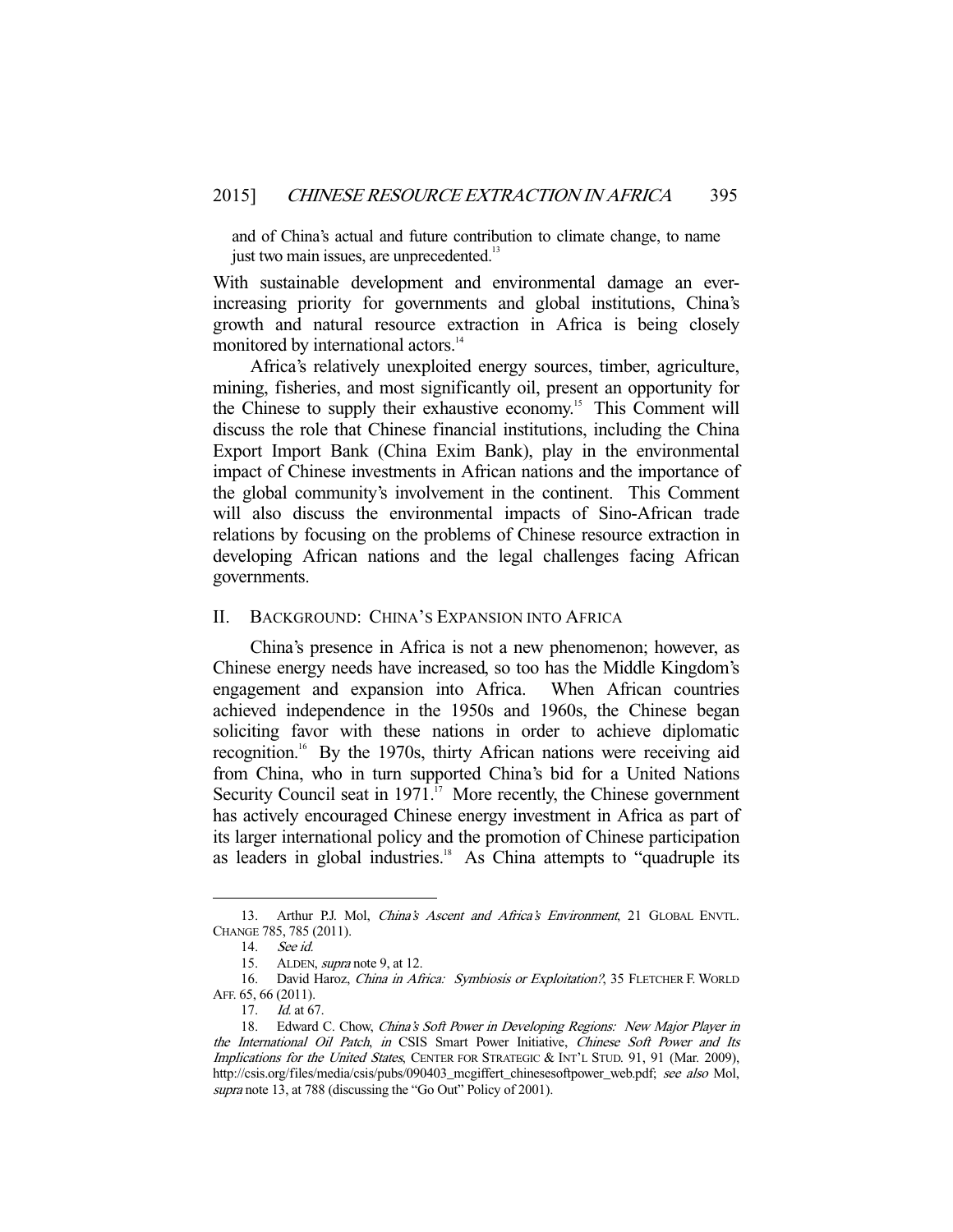and of China's actual and future contribution to climate change, to name just two main issues, are unprecedented.<sup>13</sup>

With sustainable development and environmental damage an everincreasing priority for governments and global institutions, China's growth and natural resource extraction in Africa is being closely monitored by international actors.<sup>14</sup>

 Africa's relatively unexploited energy sources, timber, agriculture, mining, fisheries, and most significantly oil, present an opportunity for the Chinese to supply their exhaustive economy.<sup>15</sup> This Comment will discuss the role that Chinese financial institutions, including the China Export Import Bank (China Exim Bank), play in the environmental impact of Chinese investments in African nations and the importance of the global community's involvement in the continent. This Comment will also discuss the environmental impacts of Sino-African trade relations by focusing on the problems of Chinese resource extraction in developing African nations and the legal challenges facing African governments.

## II. BACKGROUND: CHINA'S EXPANSION INTO AFRICA

 China's presence in Africa is not a new phenomenon; however, as Chinese energy needs have increased, so too has the Middle Kingdom's engagement and expansion into Africa. When African countries achieved independence in the 1950s and 1960s, the Chinese began soliciting favor with these nations in order to achieve diplomatic recognition.<sup>16</sup> By the 1970s, thirty African nations were receiving aid from China, who in turn supported China's bid for a United Nations Security Council seat in  $1971$ .<sup>17</sup> More recently, the Chinese government has actively encouraged Chinese energy investment in Africa as part of its larger international policy and the promotion of Chinese participation as leaders in global industries.<sup>18</sup> As China attempts to "quadruple its

<sup>13.</sup> Arthur P.J. Mol, China's Ascent and Africa's Environment, 21 GLOBAL ENVTL. CHANGE 785, 785 (2011).

 <sup>14.</sup> See id.

<sup>15.</sup> ALDEN, *supra* note 9, at 12.

<sup>16.</sup> David Haroz, China in Africa: Symbiosis or Exploitation?, 35 FLETCHER F. WORLD AFF. 65, 66 (2011).

<sup>17.</sup> *Id.* at 67.

<sup>18.</sup> Edward C. Chow, China's Soft Power in Developing Regions: New Major Player in the International Oil Patch, in CSIS Smart Power Initiative, Chinese Soft Power and Its Implications for the United States, CENTER FOR STRATEGIC & INT'L STUD. 91, 91 (Mar. 2009), http://csis.org/files/media/csis/pubs/090403\_mcgiffert\_chinesesoftpower\_web.pdf; see also Mol, supra note 13, at 788 (discussing the "Go Out" Policy of 2001).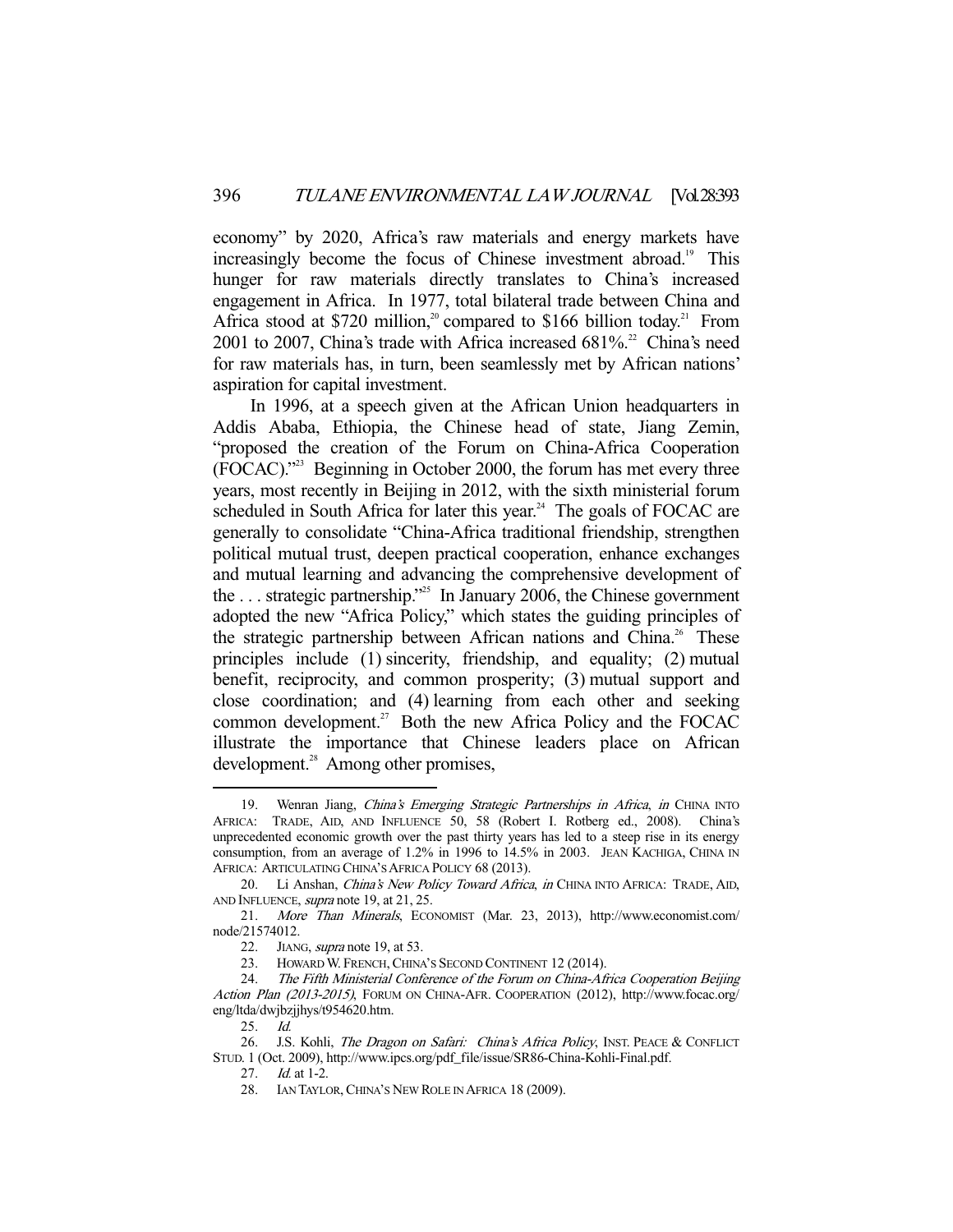economy" by 2020, Africa's raw materials and energy markets have increasingly become the focus of Chinese investment abroad.<sup>19</sup> This hunger for raw materials directly translates to China's increased engagement in Africa. In 1977, total bilateral trade between China and Africa stood at \$720 million,<sup>20</sup> compared to \$166 billion today.<sup>21</sup> From 2001 to 2007, China's trade with Africa increased  $681\%$ .<sup>22</sup> China's need for raw materials has, in turn, been seamlessly met by African nations' aspiration for capital investment.

 In 1996, at a speech given at the African Union headquarters in Addis Ababa, Ethiopia, the Chinese head of state, Jiang Zemin, "proposed the creation of the Forum on China-Africa Cooperation (FOCAC)."23 Beginning in October 2000, the forum has met every three years, most recently in Beijing in 2012, with the sixth ministerial forum scheduled in South Africa for later this year.<sup>24</sup> The goals of FOCAC are generally to consolidate "China-Africa traditional friendship, strengthen political mutual trust, deepen practical cooperation, enhance exchanges and mutual learning and advancing the comprehensive development of the ... strategic partnership."<sup>25</sup> In January 2006, the Chinese government adopted the new "Africa Policy," which states the guiding principles of the strategic partnership between African nations and China.<sup>26</sup> These principles include (1) sincerity, friendship, and equality; (2) mutual benefit, reciprocity, and common prosperity; (3) mutual support and close coordination; and (4) learning from each other and seeking common development.<sup>27</sup> Both the new Africa Policy and the FOCAC illustrate the importance that Chinese leaders place on African development.<sup>28</sup> Among other promises,

<sup>19.</sup> Wenran Jiang, China's Emerging Strategic Partnerships in Africa, in CHINA INTO AFRICA: TRADE, AID, AND INFLUENCE 50, 58 (Robert I. Rotberg ed., 2008). China's unprecedented economic growth over the past thirty years has led to a steep rise in its energy consumption, from an average of 1.2% in 1996 to 14.5% in 2003. JEAN KACHIGA, CHINA IN AFRICA: ARTICULATING CHINA'S AFRICA POLICY 68 (2013).

<sup>20.</sup> Li Anshan, China's New Policy Toward Africa, in CHINA INTO AFRICA: TRADE, AID, AND INFLUENCE, supra note 19, at 21, 25.

 <sup>21.</sup> More Than Minerals, ECONOMIST (Mar. 23, 2013), http://www.economist.com/ node/21574012.

<sup>22.</sup> JIANG, *supra* note 19, at 53.

<sup>23.</sup> HOWARD W. FRENCH, CHINA'S SECOND CONTINENT 12 (2014).

<sup>24.</sup> The Fifth Ministerial Conference of the Forum on China-Africa Cooperation Beijing Action Plan (2013-2015), FORUM ON CHINA-AFR. COOPERATION (2012), http://www.focac.org/ eng/ltda/dwjbzjjhys/t954620.htm.

 <sup>25.</sup> Id.

<sup>26.</sup> J.S. Kohli, The Dragon on Safari: China's Africa Policy, INST. PEACE & CONFLICT STUD. 1 (Oct. 2009), http://www.ipcs.org/pdf\_file/issue/SR86-China-Kohli-Final.pdf.

<sup>27.</sup> *Id.* at 1-2.

 <sup>28.</sup> IAN TAYLOR,CHINA'S NEW ROLE IN AFRICA 18 (2009).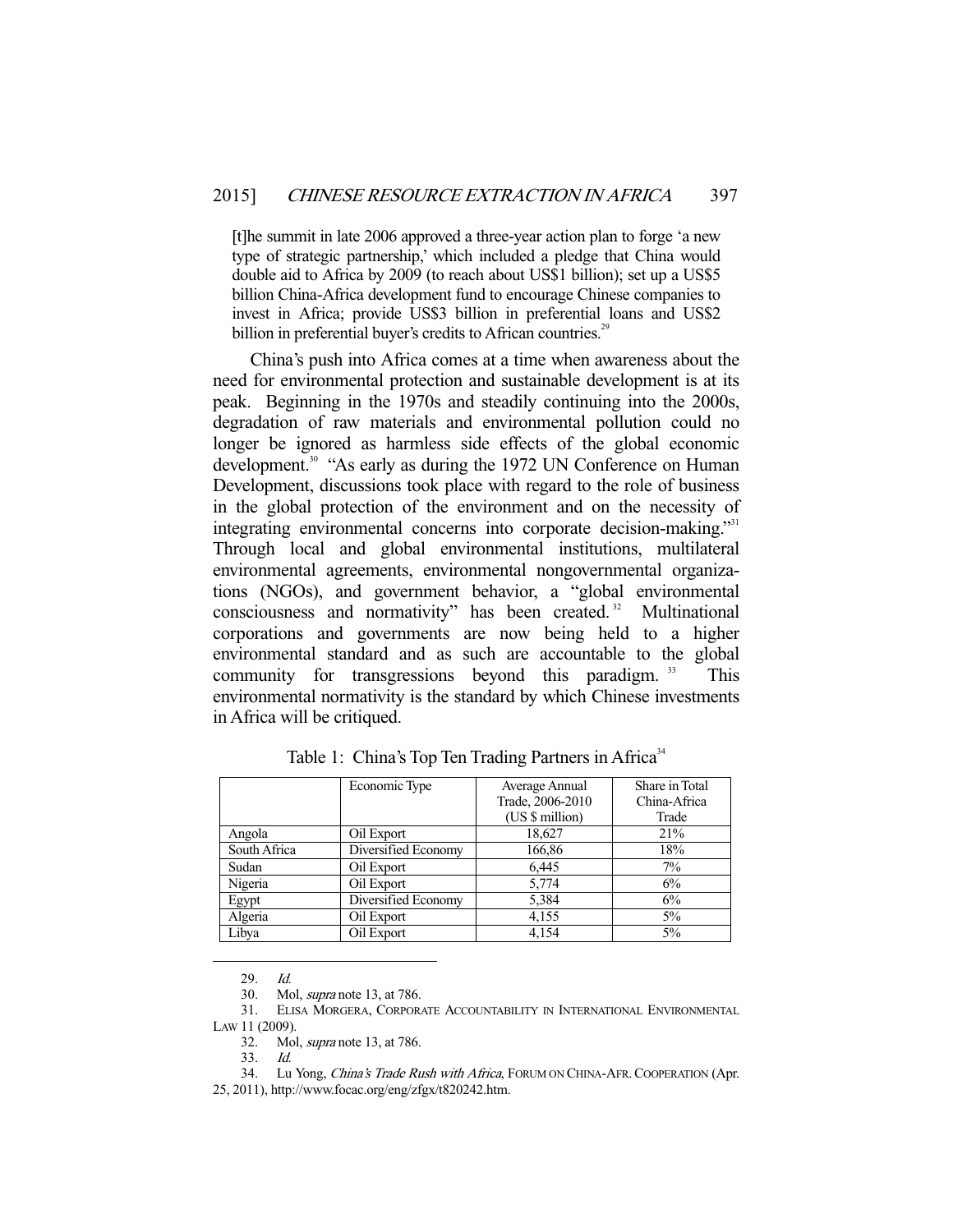[t]he summit in late 2006 approved a three-year action plan to forge 'a new type of strategic partnership,' which included a pledge that China would double aid to Africa by 2009 (to reach about US\$1 billion); set up a US\$5 billion China-Africa development fund to encourage Chinese companies to invest in Africa; provide US\$3 billion in preferential loans and US\$2 billion in preferential buyer's credits to African countries.<sup>29</sup>

 China's push into Africa comes at a time when awareness about the need for environmental protection and sustainable development is at its peak. Beginning in the 1970s and steadily continuing into the 2000s, degradation of raw materials and environmental pollution could no longer be ignored as harmless side effects of the global economic development.<sup>30</sup> "As early as during the 1972 UN Conference on Human Development, discussions took place with regard to the role of business in the global protection of the environment and on the necessity of integrating environmental concerns into corporate decision-making."31 Through local and global environmental institutions, multilateral environmental agreements, environmental nongovernmental organizations (NGOs), and government behavior, a "global environmental consciousness and normativity" has been created.<sup>32</sup> Multinational corporations and governments are now being held to a higher environmental standard and as such are accountable to the global community for transgressions beyond this paradigm.  $33$  This environmental normativity is the standard by which Chinese investments in Africa will be critiqued.

|              | Economic Type       | Average Annual<br>Trade, 2006-2010<br>(US \$ million) | Share in Total<br>China-Africa<br>Trade |
|--------------|---------------------|-------------------------------------------------------|-----------------------------------------|
| Angola       | Oil Export          | 18,627                                                | 21%                                     |
| South Africa | Diversified Economy | 166,86                                                | 18%                                     |
| Sudan        | Oil Export          | 6,445                                                 | $7\%$                                   |
| Nigeria      | Oil Export          | 5,774                                                 | 6%                                      |
| Egypt        | Diversified Economy | 5,384                                                 | 6%                                      |
| Algeria      | Oil Export          | 4,155                                                 | $5\%$                                   |
| Libya        | Oil Export          | 4,154                                                 | $5\%$                                   |

Table 1: China's Top Ten Trading Partners in Africa<sup>34</sup>

29. Id.

-

33. Id.

34. Lu Yong, China's Trade Rush with Africa, FORUM ON CHINA-AFR. COOPERATION (Apr. 25, 2011), http://www.focac.org/eng/zfgx/t820242.htm.

 <sup>30.</sup> Mol, supra note 13, at 786.

 <sup>31.</sup> ELISA MORGERA, CORPORATE ACCOUNTABILITY IN INTERNATIONAL ENVIRONMENTAL LAW 11 (2009).

 <sup>32.</sup> Mol, supra note 13, at 786.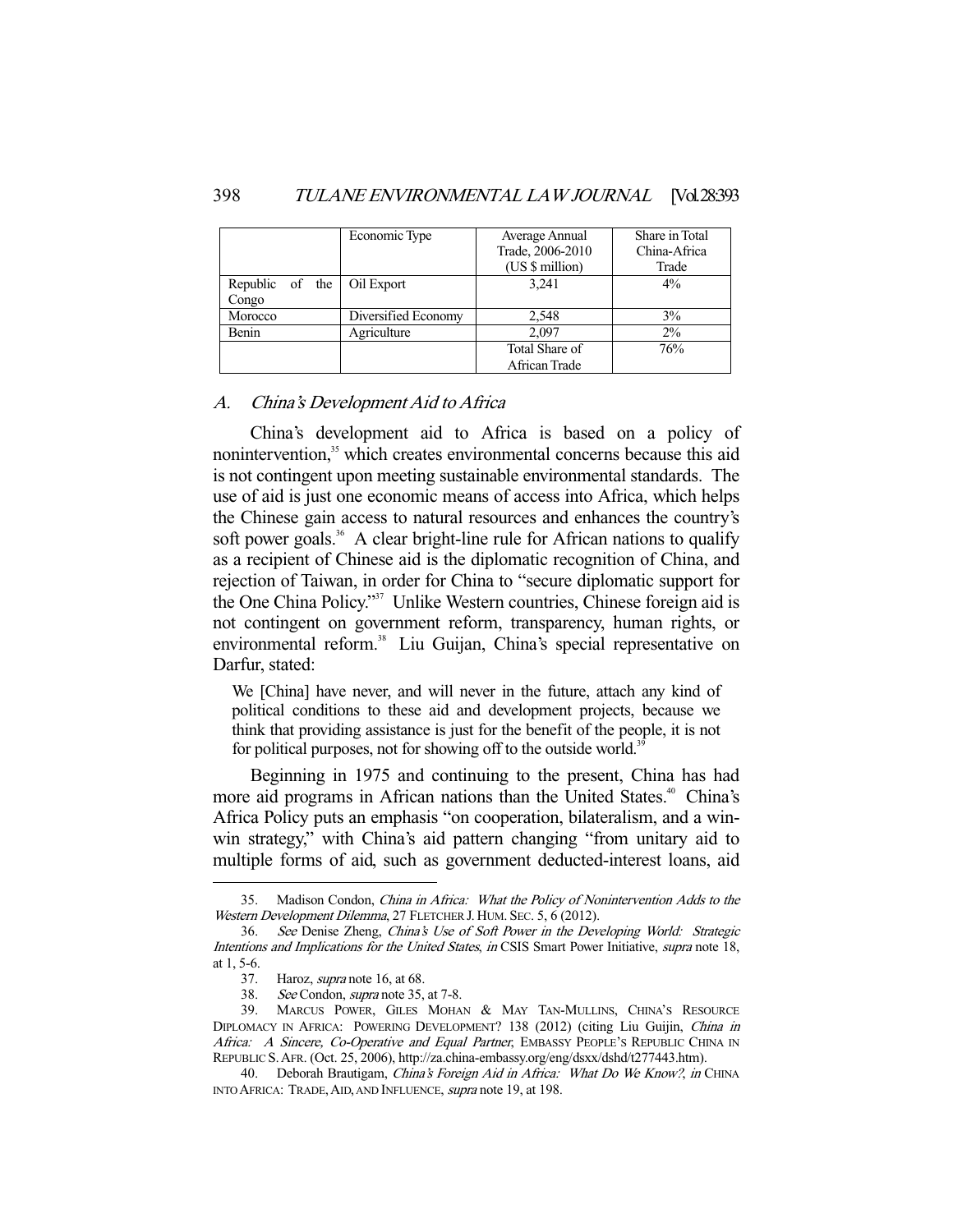|                    | Economic Type       | Average Annual<br>Trade, 2006-2010 | Share in Total<br>China-Africa |
|--------------------|---------------------|------------------------------------|--------------------------------|
|                    |                     | (US \$ million)                    | Trade                          |
| Republic of<br>the | Oil Export          | 3,241                              | $4\%$                          |
| Congo              |                     |                                    |                                |
| Morocco            | Diversified Economy | 2,548                              | 3%                             |
| Benin              | Agriculture         | 2.097                              | $2\%$                          |
|                    |                     | Total Share of                     | 76%                            |
|                    |                     | African Trade                      |                                |

## A. China's Development Aid to Africa

 China's development aid to Africa is based on a policy of nonintervention,<sup>35</sup> which creates environmental concerns because this aid is not contingent upon meeting sustainable environmental standards. The use of aid is just one economic means of access into Africa, which helps the Chinese gain access to natural resources and enhances the country's soft power goals.<sup>36</sup> A clear bright-line rule for African nations to qualify as a recipient of Chinese aid is the diplomatic recognition of China, and rejection of Taiwan, in order for China to "secure diplomatic support for the One China Policy."37 Unlike Western countries, Chinese foreign aid is not contingent on government reform, transparency, human rights, or environmental reform.<sup>38</sup> Liu Guijan, China's special representative on Darfur, stated:

We [China] have never, and will never in the future, attach any kind of political conditions to these aid and development projects, because we think that providing assistance is just for the benefit of the people, it is not for political purposes, not for showing off to the outside world.<sup>39</sup>

 Beginning in 1975 and continuing to the present, China has had more aid programs in African nations than the United States.<sup>40</sup> China's Africa Policy puts an emphasis "on cooperation, bilateralism, and a winwin strategy," with China's aid pattern changing "from unitary aid to multiple forms of aid, such as government deducted-interest loans, aid

 <sup>35.</sup> Madison Condon, China in Africa: What the Policy of Nonintervention Adds to the Western Development Dilemma, 27 FLETCHER J. HUM. SEC. 5, 6 (2012).

 <sup>36.</sup> See Denise Zheng, China's Use of Soft Power in the Developing World: Strategic Intentions and Implications for the United States, in CSIS Smart Power Initiative, supra note 18, at 1, 5-6.

<sup>37.</sup> Haroz, *supra* note 16, at 68.<br>38. See Condon, *supra* note 35,

See Condon, *supra* note 35, at 7-8.

 <sup>39.</sup> MARCUS POWER, GILES MOHAN & MAY TAN-MULLINS, CHINA'S RESOURCE DIPLOMACY IN AFRICA: POWERING DEVELOPMENT? 138 (2012) (citing Liu Guijin, China in Africa: A Sincere, Co-Operative and Equal Partner, EMBASSY PEOPLE'S REPUBLIC CHINA IN REPUBLIC S.AFR. (Oct. 25, 2006), http://za.china-embassy.org/eng/dsxx/dshd/t277443.htm).

<sup>40.</sup> Deborah Brautigam, China's Foreign Aid in Africa: What Do We Know?, in CHINA INTO AFRICA: TRADE,AID, AND INFLUENCE, supra note 19, at 198.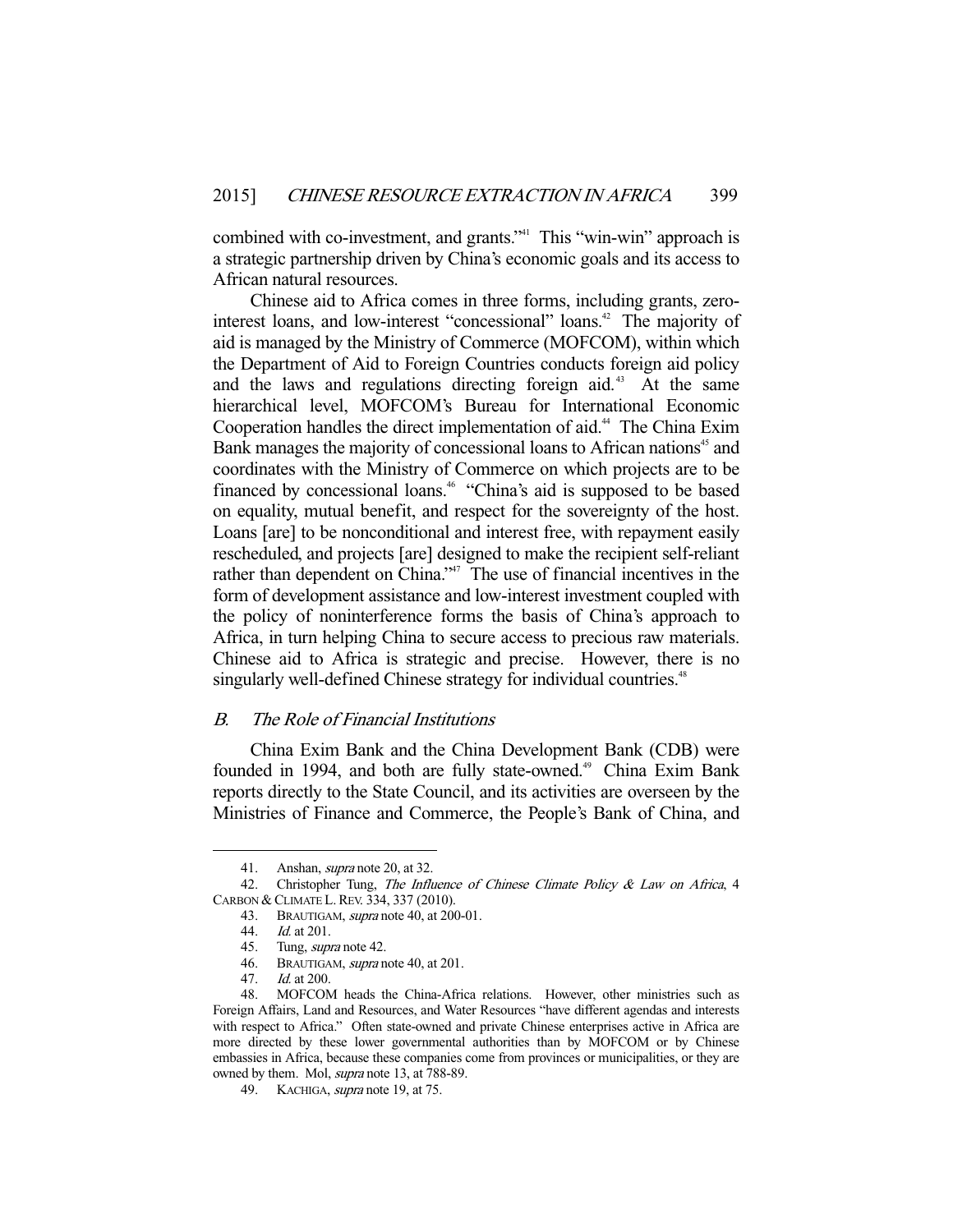combined with co-investment, and grants."<sup>41</sup> This "win-win" approach is a strategic partnership driven by China's economic goals and its access to African natural resources.

 Chinese aid to Africa comes in three forms, including grants, zerointerest loans, and low-interest "concessional" loans.<sup>42</sup> The majority of aid is managed by the Ministry of Commerce (MOFCOM), within which the Department of Aid to Foreign Countries conducts foreign aid policy and the laws and regulations directing foreign aid.<sup>43</sup> At the same hierarchical level, MOFCOM's Bureau for International Economic Cooperation handles the direct implementation of aid.<sup>44</sup> The China Exim Bank manages the majority of concessional loans to African nations<sup>45</sup> and coordinates with the Ministry of Commerce on which projects are to be financed by concessional loans.46 "China's aid is supposed to be based on equality, mutual benefit, and respect for the sovereignty of the host. Loans [are] to be nonconditional and interest free, with repayment easily rescheduled, and projects [are] designed to make the recipient self-reliant rather than dependent on China."<sup>47</sup> The use of financial incentives in the form of development assistance and low-interest investment coupled with the policy of noninterference forms the basis of China's approach to Africa, in turn helping China to secure access to precious raw materials. Chinese aid to Africa is strategic and precise. However, there is no singularly well-defined Chinese strategy for individual countries.<sup>48</sup>

## B. The Role of Financial Institutions

 China Exim Bank and the China Development Bank (CDB) were founded in 1994, and both are fully state-owned.<sup>49</sup> China Exim Bank reports directly to the State Council, and its activities are overseen by the Ministries of Finance and Commerce, the People's Bank of China, and

<sup>41.</sup> Anshan, *supra* note 20, at 32.

<sup>42.</sup> Christopher Tung, The Influence of Chinese Climate Policy  $\&$  Law on Africa, 4 CARBON & CLIMATE L. REV. 334, 337 (2010).

 <sup>43.</sup> BRAUTIGAM, supra note 40, at 200-01.

 <sup>44.</sup> Id. at 201.

<sup>45.</sup> Tung, *supra* note 42.

<sup>46.</sup> BRAUTIGAM, *supra* note 40, at 201.

 <sup>47.</sup> Id. at 200.

 <sup>48.</sup> MOFCOM heads the China-Africa relations. However, other ministries such as Foreign Affairs, Land and Resources, and Water Resources "have different agendas and interests with respect to Africa." Often state-owned and private Chinese enterprises active in Africa are more directed by these lower governmental authorities than by MOFCOM or by Chinese embassies in Africa, because these companies come from provinces or municipalities, or they are owned by them. Mol, *supra* note 13, at 788-89.

<sup>49.</sup> KACHIGA, *supra* note 19, at 75.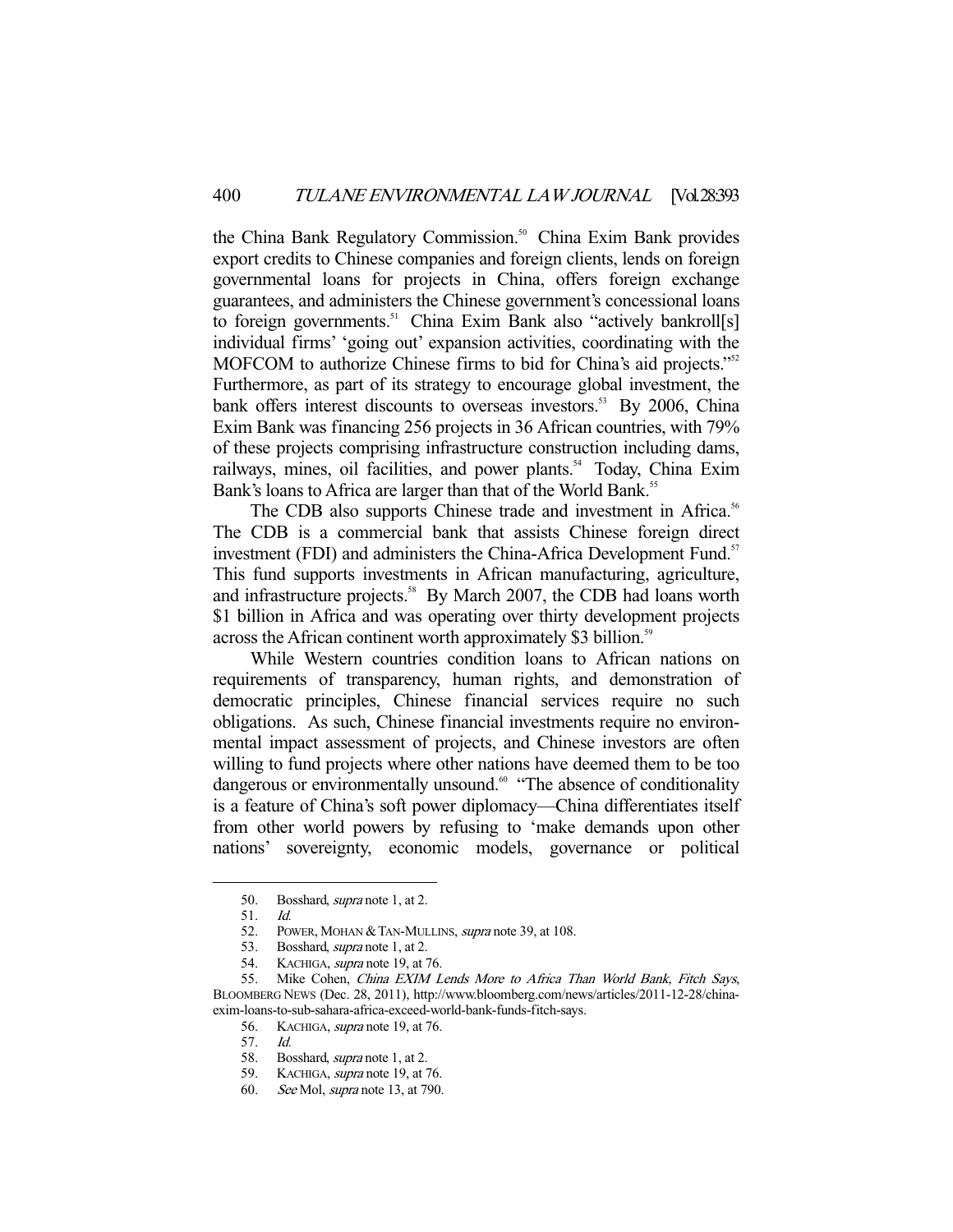the China Bank Regulatory Commission.<sup>50</sup> China Exim Bank provides export credits to Chinese companies and foreign clients, lends on foreign governmental loans for projects in China, offers foreign exchange guarantees, and administers the Chinese government's concessional loans to foreign governments.<sup>51</sup> China Exim Bank also "actively bankroll[s] individual firms' 'going out' expansion activities, coordinating with the MOFCOM to authorize Chinese firms to bid for China's aid projects."<sup>52</sup> Furthermore, as part of its strategy to encourage global investment, the bank offers interest discounts to overseas investors.<sup>53</sup> By 2006, China Exim Bank was financing 256 projects in 36 African countries, with 79% of these projects comprising infrastructure construction including dams, railways, mines, oil facilities, and power plants.<sup>54</sup> Today, China Exim Bank's loans to Africa are larger than that of the World Bank.<sup>55</sup>

The CDB also supports Chinese trade and investment in Africa.<sup>56</sup> The CDB is a commercial bank that assists Chinese foreign direct investment (FDI) and administers the China-Africa Development Fund.<sup>57</sup> This fund supports investments in African manufacturing, agriculture, and infrastructure projects.<sup>58</sup> By March 2007, the CDB had loans worth \$1 billion in Africa and was operating over thirty development projects across the African continent worth approximately \$3 billion.<sup>59</sup>

 While Western countries condition loans to African nations on requirements of transparency, human rights, and demonstration of democratic principles, Chinese financial services require no such obligations. As such, Chinese financial investments require no environmental impact assessment of projects, and Chinese investors are often willing to fund projects where other nations have deemed them to be too dangerous or environmentally unsound.<sup>60</sup> "The absence of conditionality is a feature of China's soft power diplomacy—China differentiates itself from other world powers by refusing to 'make demands upon other nations' sovereignty, economic models, governance or political

 <sup>50.</sup> Bosshard, supra note 1, at 2.

 <sup>51.</sup> Id.

<sup>52.</sup> POWER, MOHAN & TAN-MULLINS, *supra* note 39, at 108.

 <sup>53.</sup> Bosshard, supra note 1, at 2.

<sup>54.</sup> KACHIGA, *supra* note 19, at 76.

 <sup>55.</sup> Mike Cohen, China EXIM Lends More to Africa Than World Bank, Fitch Says, BLOOMBERG NEWS (Dec. 28, 2011), http://www.bloomberg.com/news/articles/2011-12-28/chinaexim-loans-to-sub-sahara-africa-exceed-world-bank-funds-fitch-says.

<sup>56.</sup> KACHIGA, *supra* note 19, at 76.

 <sup>57.</sup> Id.

 <sup>58.</sup> Bosshard, supra note 1, at 2.

<sup>59.</sup> KACHIGA, *supra* note 19, at 76.

 <sup>60.</sup> See Mol, supra note 13, at 790.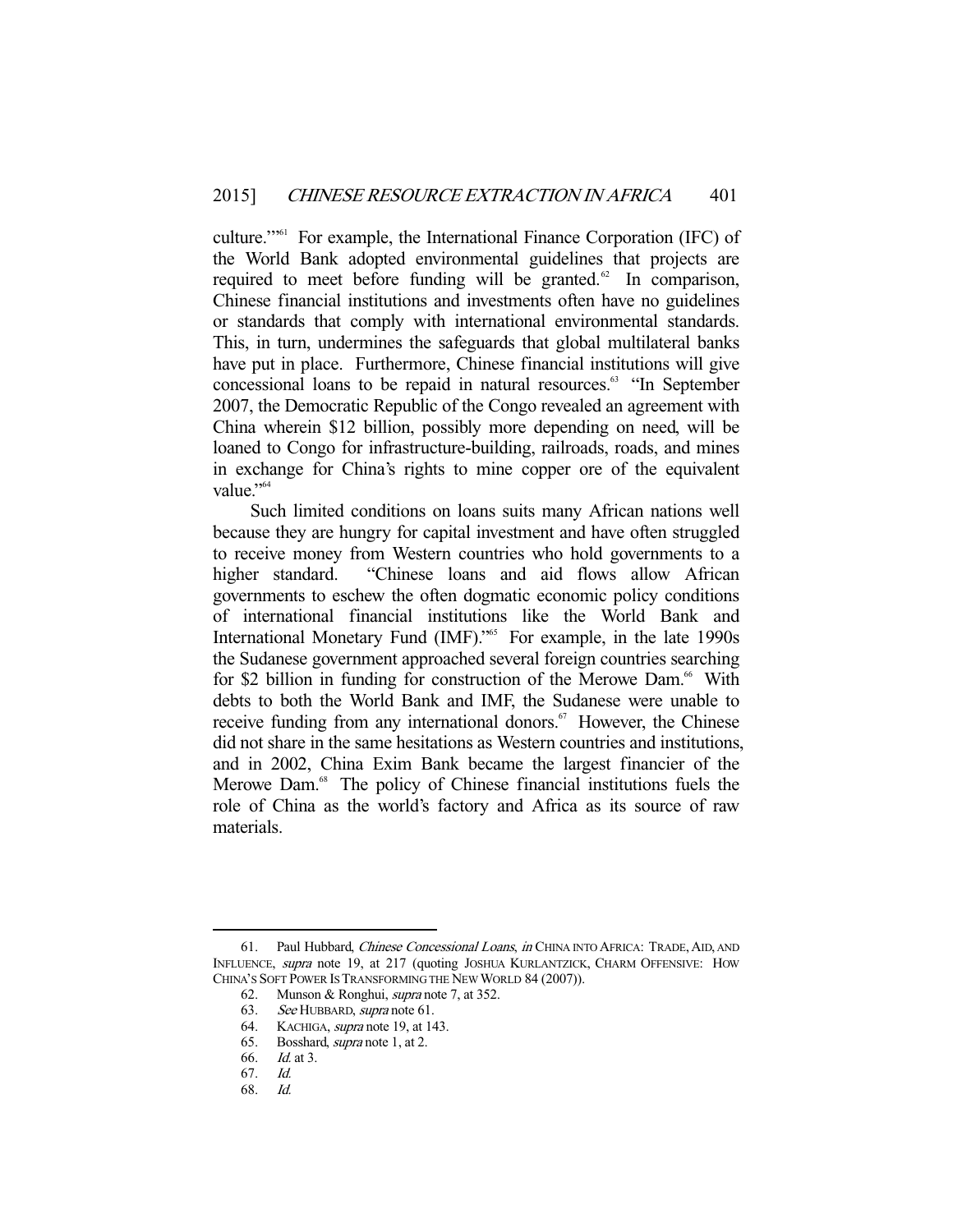culture.'"61 For example, the International Finance Corporation (IFC) of the World Bank adopted environmental guidelines that projects are required to meet before funding will be granted.<sup>62</sup> In comparison, Chinese financial institutions and investments often have no guidelines or standards that comply with international environmental standards. This, in turn, undermines the safeguards that global multilateral banks have put in place. Furthermore, Chinese financial institutions will give concessional loans to be repaid in natural resources.<sup>63</sup> "In September 2007, the Democratic Republic of the Congo revealed an agreement with China wherein \$12 billion, possibly more depending on need, will be loaned to Congo for infrastructure-building, railroads, roads, and mines in exchange for China's rights to mine copper ore of the equivalent value."<sup>64</sup>

 Such limited conditions on loans suits many African nations well because they are hungry for capital investment and have often struggled to receive money from Western countries who hold governments to a higher standard. "Chinese loans and aid flows allow African governments to eschew the often dogmatic economic policy conditions of international financial institutions like the World Bank and International Monetary Fund (IMF).<sup>365</sup> For example, in the late 1990s the Sudanese government approached several foreign countries searching for \$2 billion in funding for construction of the Merowe Dam.<sup>66</sup> With debts to both the World Bank and IMF, the Sudanese were unable to receive funding from any international donors.<sup>67</sup> However, the Chinese did not share in the same hesitations as Western countries and institutions, and in 2002, China Exim Bank became the largest financier of the Merowe Dam.<sup>68</sup> The policy of Chinese financial institutions fuels the role of China as the world's factory and Africa as its source of raw materials.

<sup>61.</sup> Paul Hubbard, *Chinese Concessional Loans, in* CHINA INTO AFRICA: TRADE, AID, AND INFLUENCE, supra note 19, at 217 (quoting JOSHUA KURLANTZICK, CHARM OFFENSIVE: HOW CHINA'S SOFT POWER IS TRANSFORMING THE NEW WORLD 84 (2007)).

 <sup>62.</sup> Munson & Ronghui, supra note 7, at 352.

 <sup>63.</sup> See HUBBARD, supra note 61.

<sup>64.</sup> KACHIGA, *supra* note 19, at 143.

 <sup>65.</sup> Bosshard, supra note 1, at 2.

 <sup>66.</sup> Id. at 3.

 <sup>67.</sup> Id.

 <sup>68.</sup> Id.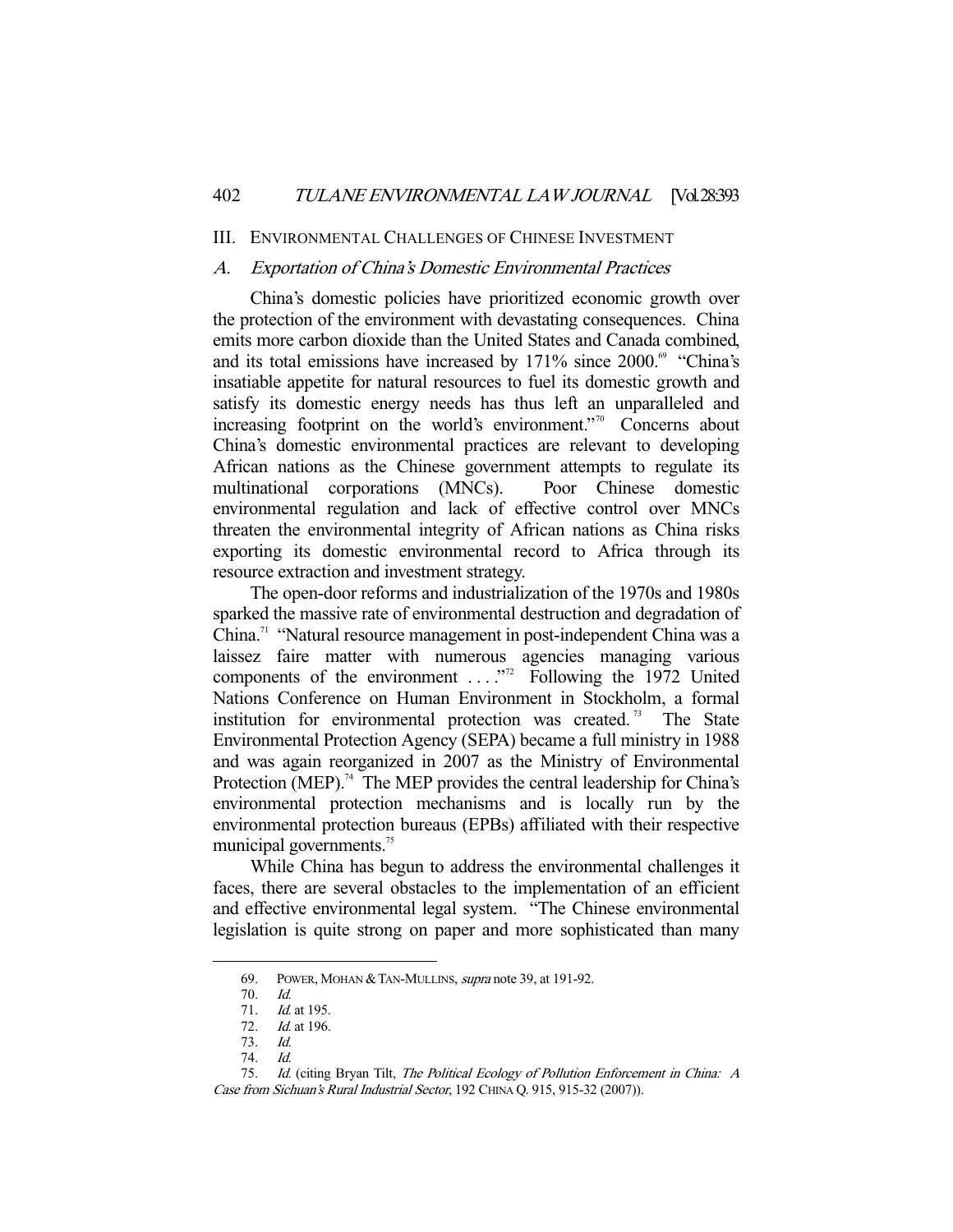#### III. ENVIRONMENTAL CHALLENGES OF CHINESE INVESTMENT

### A. Exportation of China's Domestic Environmental Practices

 China's domestic policies have prioritized economic growth over the protection of the environment with devastating consequences. China emits more carbon dioxide than the United States and Canada combined, and its total emissions have increased by  $171\%$  since  $2000.^{\circ\circ}$  "China's insatiable appetite for natural resources to fuel its domestic growth and satisfy its domestic energy needs has thus left an unparalleled and increasing footprint on the world's environment."<sup>70</sup> Concerns about China's domestic environmental practices are relevant to developing African nations as the Chinese government attempts to regulate its multinational corporations (MNCs). Poor Chinese domestic environmental regulation and lack of effective control over MNCs threaten the environmental integrity of African nations as China risks exporting its domestic environmental record to Africa through its resource extraction and investment strategy.

 The open-door reforms and industrialization of the 1970s and 1980s sparked the massive rate of environmental destruction and degradation of China.71 "Natural resource management in post-independent China was a laissez faire matter with numerous agencies managing various components of the environment ...."<sup>72</sup> Following the 1972 United Nations Conference on Human Environment in Stockholm, a formal institution for environmental protection was created.<sup>73</sup> The State Environmental Protection Agency (SEPA) became a full ministry in 1988 and was again reorganized in 2007 as the Ministry of Environmental Protection (MEP).<sup>74</sup> The MEP provides the central leadership for China's environmental protection mechanisms and is locally run by the environmental protection bureaus (EPBs) affiliated with their respective municipal governments.<sup>75</sup>

 While China has begun to address the environmental challenges it faces, there are several obstacles to the implementation of an efficient and effective environmental legal system. "The Chinese environmental legislation is quite strong on paper and more sophisticated than many

<sup>69.</sup> POWER, MOHAN & TAN-MULLINS, *supra* note 39, at 191-92.

 <sup>70.</sup> Id.

<sup>71.</sup> *Id.* at 195.

<sup>72.</sup> *Id.* at 196.

 <sup>73.</sup> Id.

 <sup>74.</sup> Id.

 <sup>75.</sup> Id. (citing Bryan Tilt, The Political Ecology of Pollution Enforcement in China: A Case from Sichuan's Rural Industrial Sector, 192 CHINA Q. 915, 915-32 (2007)).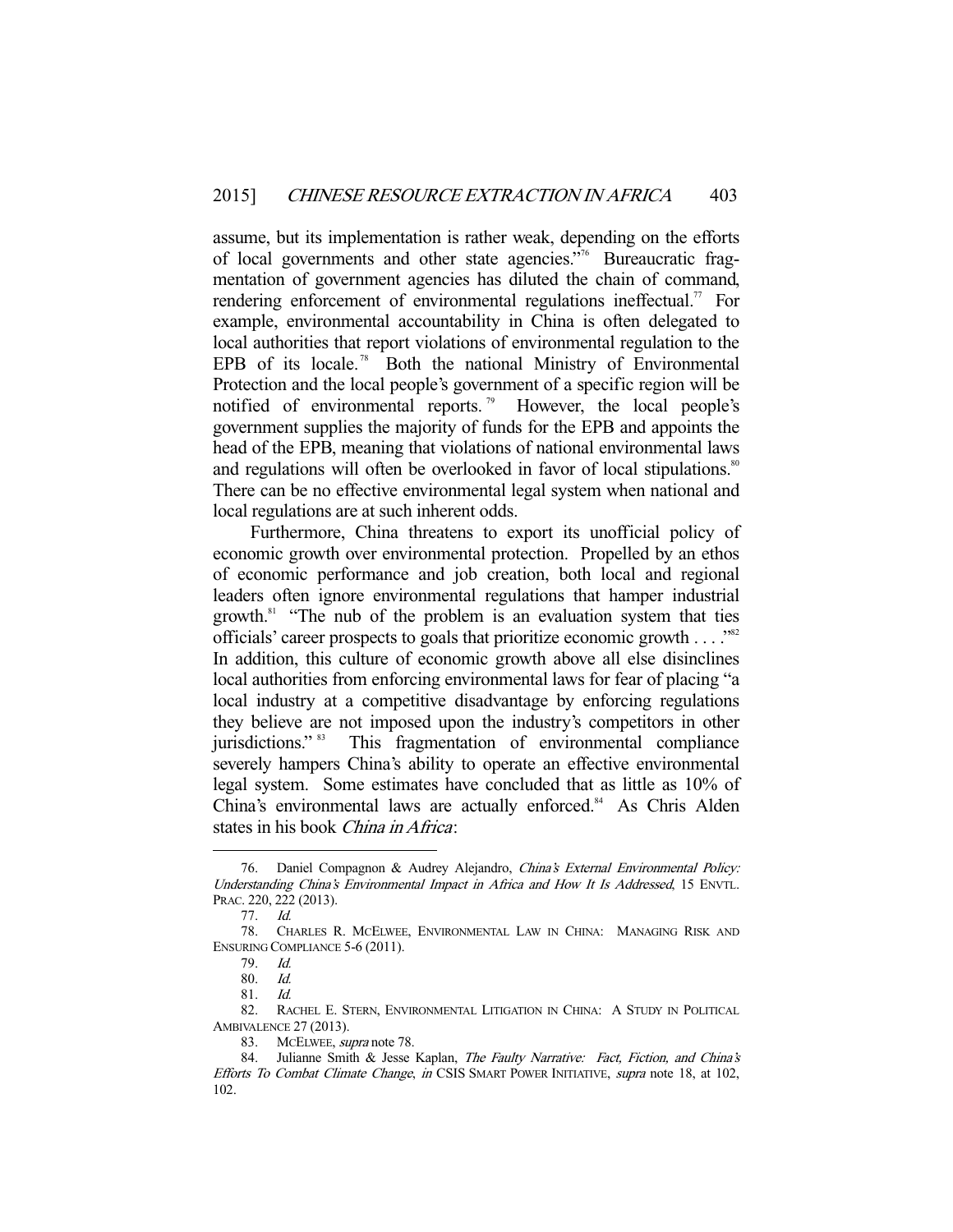assume, but its implementation is rather weak, depending on the efforts of local governments and other state agencies."76 Bureaucratic fragmentation of government agencies has diluted the chain of command, rendering enforcement of environmental regulations ineffectual.<sup>77</sup> For example, environmental accountability in China is often delegated to local authorities that report violations of environmental regulation to the EPB of its locale.<sup>78</sup> Both the national Ministry of Environmental Protection and the local people's government of a specific region will be notified of environmental reports.<sup>79</sup> However, the local people's government supplies the majority of funds for the EPB and appoints the head of the EPB, meaning that violations of national environmental laws and regulations will often be overlooked in favor of local stipulations.<sup>80</sup> There can be no effective environmental legal system when national and local regulations are at such inherent odds.

 Furthermore, China threatens to export its unofficial policy of economic growth over environmental protection. Propelled by an ethos of economic performance and job creation, both local and regional leaders often ignore environmental regulations that hamper industrial growth.81 "The nub of the problem is an evaluation system that ties officials' career prospects to goals that prioritize economic growth . . . . "<sup>82</sup> In addition, this culture of economic growth above all else disinclines local authorities from enforcing environmental laws for fear of placing "a local industry at a competitive disadvantage by enforcing regulations they believe are not imposed upon the industry's competitors in other jurisdictions."<sup>83</sup> This fragmentation of environmental compliance severely hampers China's ability to operate an effective environmental legal system. Some estimates have concluded that as little as 10% of China's environmental laws are actually enforced.<sup>84</sup> As Chris Alden states in his book China in Africa:

<sup>76.</sup> Daniel Compagnon & Audrey Alejandro, China's External Environmental Policy: Understanding China's Environmental Impact in Africa and How It Is Addressed, 15 ENVTL. PRAC. 220, 222 (2013).

 <sup>77.</sup> Id.

 <sup>78.</sup> CHARLES R. MCELWEE, ENVIRONMENTAL LAW IN CHINA: MANAGING RISK AND ENSURING COMPLIANCE 5-6 (2011).

 <sup>79.</sup> Id.

<sup>80.</sup> *Id.*<br>81. *Id.* 

<sup>81.</sup> 

 <sup>82.</sup> RACHEL E. STERN, ENVIRONMENTAL LITIGATION IN CHINA: A STUDY IN POLITICAL AMBIVALENCE 27 (2013).

<sup>83.</sup> MCELWEE, supra note 78.

<sup>84.</sup> Julianne Smith & Jesse Kaplan, The Faulty Narrative: Fact, Fiction, and China's Efforts To Combat Climate Change, in CSIS SMART POWER INITIATIVE, supra note 18, at 102, 102.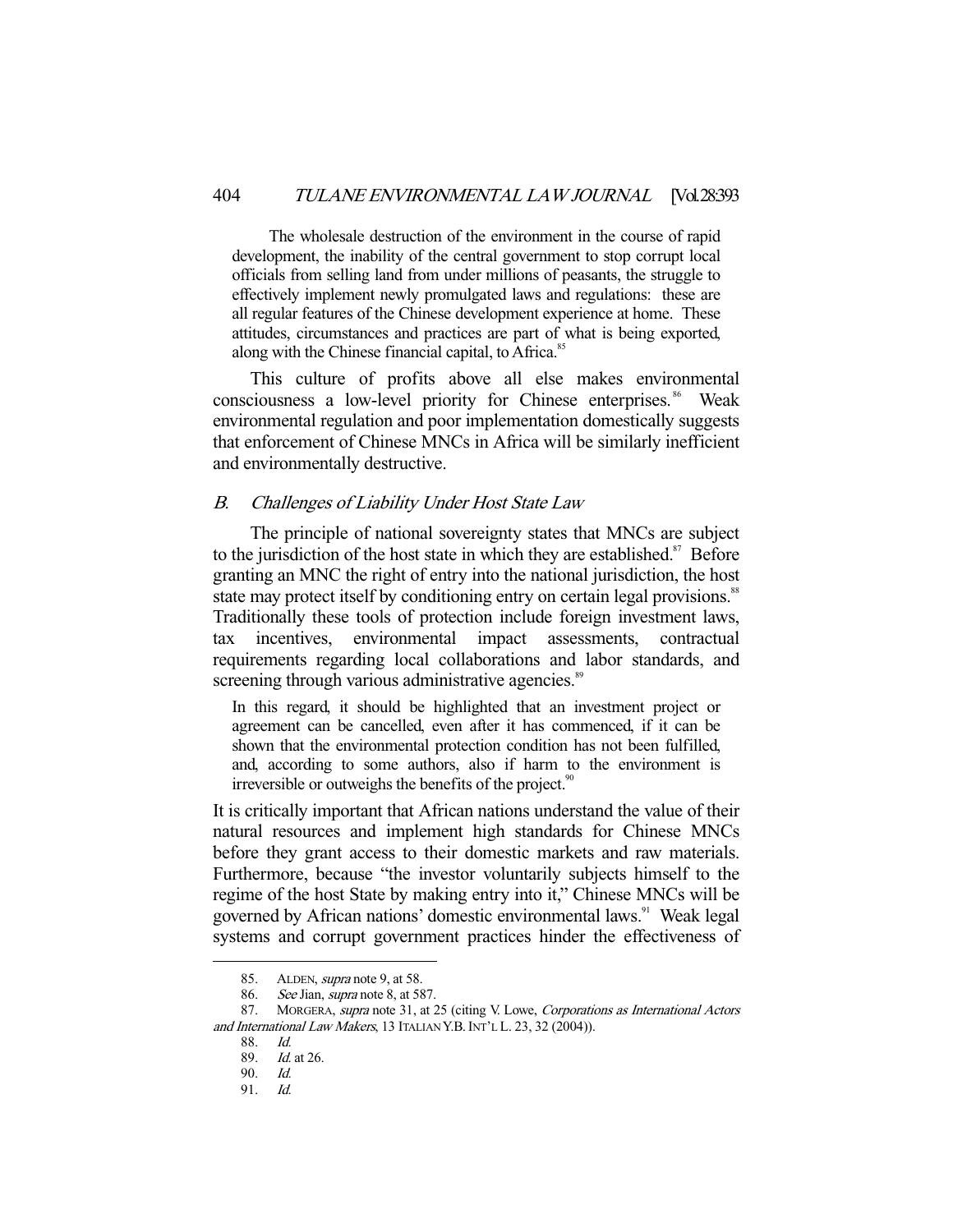The wholesale destruction of the environment in the course of rapid development, the inability of the central government to stop corrupt local officials from selling land from under millions of peasants, the struggle to effectively implement newly promulgated laws and regulations: these are all regular features of the Chinese development experience at home. These attitudes, circumstances and practices are part of what is being exported, along with the Chinese financial capital, to Africa.<sup>85</sup>

 This culture of profits above all else makes environmental consciousness a low-level priority for Chinese enterprises.<sup>86</sup> Weak environmental regulation and poor implementation domestically suggests that enforcement of Chinese MNCs in Africa will be similarly inefficient and environmentally destructive.

## B. Challenges of Liability Under Host State Law

 The principle of national sovereignty states that MNCs are subject to the jurisdiction of the host state in which they are established.<sup>87</sup> Before granting an MNC the right of entry into the national jurisdiction, the host state may protect itself by conditioning entry on certain legal provisions.<sup>88</sup> Traditionally these tools of protection include foreign investment laws, tax incentives, environmental impact assessments, contractual requirements regarding local collaborations and labor standards, and screening through various administrative agencies.<sup>89</sup>

In this regard, it should be highlighted that an investment project or agreement can be cancelled, even after it has commenced, if it can be shown that the environmental protection condition has not been fulfilled, and, according to some authors, also if harm to the environment is irreversible or outweighs the benefits of the project.<sup>90</sup>

It is critically important that African nations understand the value of their natural resources and implement high standards for Chinese MNCs before they grant access to their domestic markets and raw materials. Furthermore, because "the investor voluntarily subjects himself to the regime of the host State by making entry into it," Chinese MNCs will be governed by African nations' domestic environmental laws.<sup>91</sup> Weak legal systems and corrupt government practices hinder the effectiveness of

 <sup>85.</sup> ALDEN, supra note 9, at 58.

 <sup>86.</sup> See Jian, supra note 8, at 587.

<sup>87.</sup> MORGERA, supra note 31, at 25 (citing V. Lowe, Corporations as International Actors and International Law Makers, 13 ITALIAN Y.B. INT'L L. 23, 32 (2004)).

 <sup>88.</sup> Id.

 <sup>89.</sup> Id. at 26.

 <sup>90.</sup> Id.

 <sup>91.</sup> Id.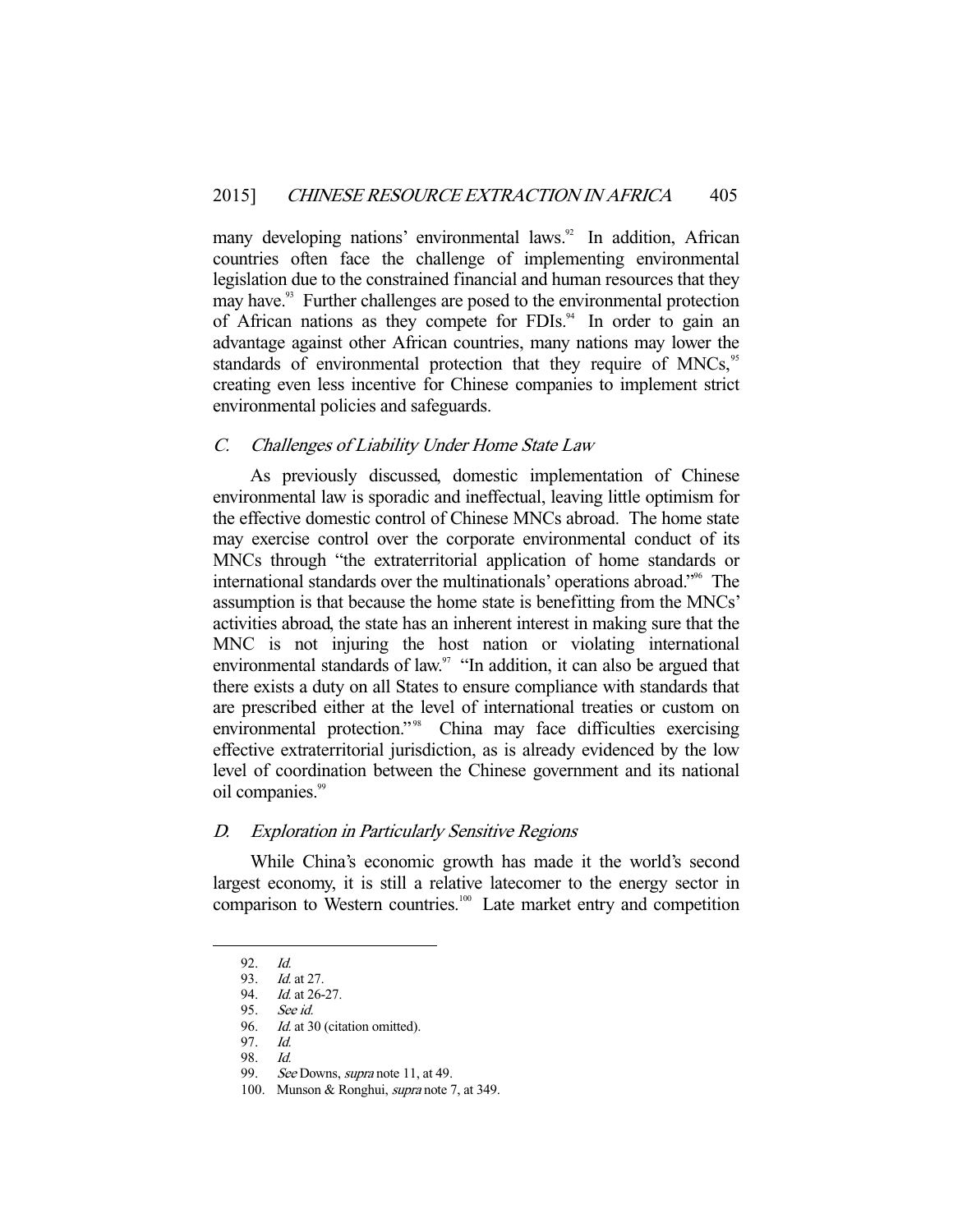many developing nations' environmental laws.<sup>92</sup> In addition, African countries often face the challenge of implementing environmental legislation due to the constrained financial and human resources that they may have.<sup>33</sup> Further challenges are posed to the environmental protection of African nations as they compete for FDIs. $94$  In order to gain an advantage against other African countries, many nations may lower the standards of environmental protection that they require of MNCs,<sup>95</sup> creating even less incentive for Chinese companies to implement strict environmental policies and safeguards.

## C. Challenges of Liability Under Home State Law

 As previously discussed, domestic implementation of Chinese environmental law is sporadic and ineffectual, leaving little optimism for the effective domestic control of Chinese MNCs abroad. The home state may exercise control over the corporate environmental conduct of its MNCs through "the extraterritorial application of home standards or international standards over the multinationals' operations abroad."96 The assumption is that because the home state is benefitting from the MNCs' activities abroad, the state has an inherent interest in making sure that the MNC is not injuring the host nation or violating international environmental standards of law.<sup>97</sup> "In addition, it can also be argued that there exists a duty on all States to ensure compliance with standards that are prescribed either at the level of international treaties or custom on environmental protection."<sup>98</sup> China may face difficulties exercising effective extraterritorial jurisdiction, as is already evidenced by the low level of coordination between the Chinese government and its national oil companies.<sup>99</sup>

## D. Exploration in Particularly Sensitive Regions

 While China's economic growth has made it the world's second largest economy, it is still a relative latecomer to the energy sector in comparison to Western countries.<sup>100</sup> Late market entry and competition

 $92 \frac{Id}{ }$ 

 <sup>93.</sup> Id. at 27.

<sup>94.</sup> *Id.* at 26-27.

 <sup>95.</sup> See id.

<sup>96.</sup> *Id.* at 30 (citation omitted).

 <sup>97.</sup> Id.

 <sup>98.</sup> Id.

<sup>99.</sup> See Downs, *supra* note 11, at 49.

<sup>100.</sup> Munson & Ronghui, *supra* note 7, at 349.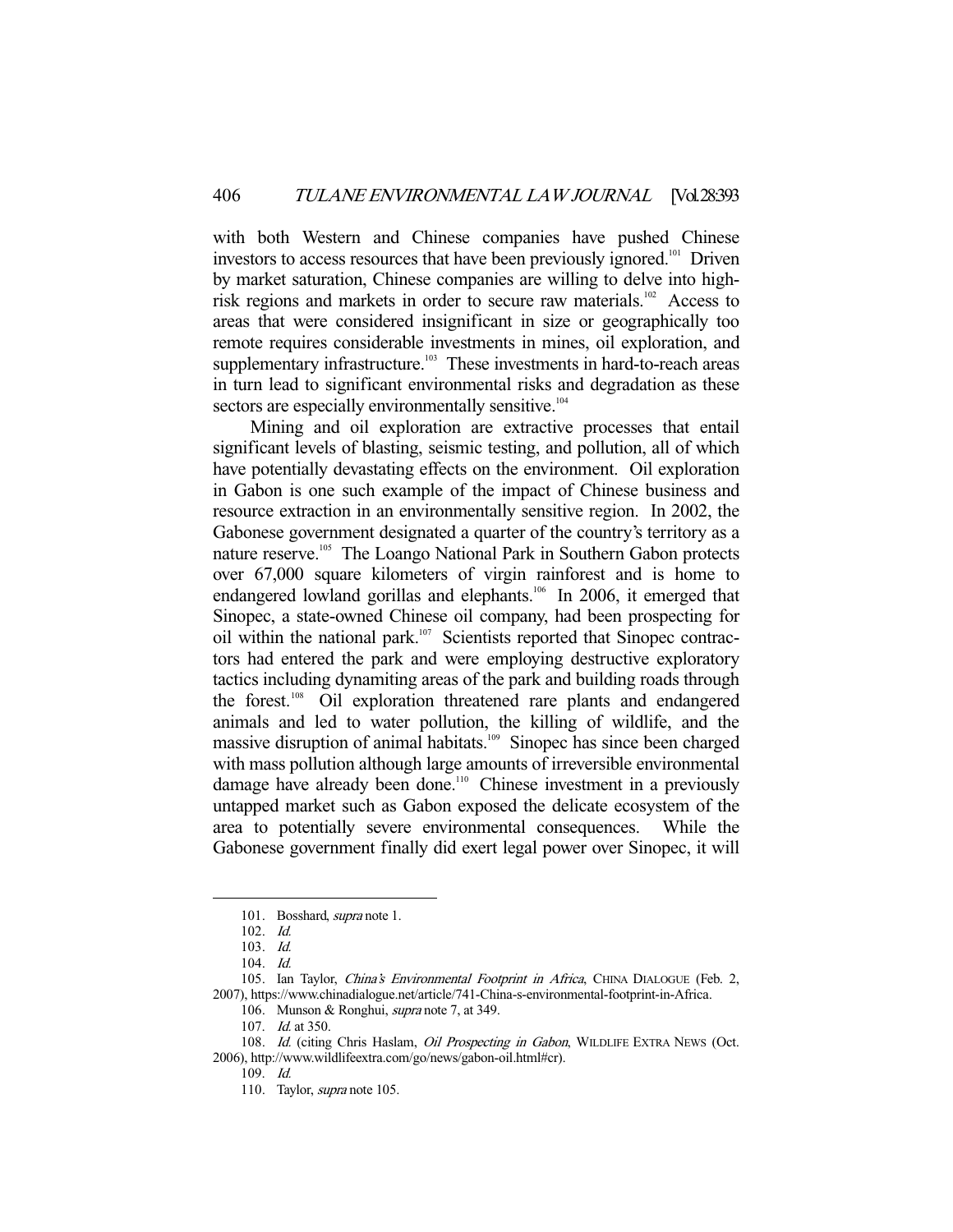with both Western and Chinese companies have pushed Chinese investors to access resources that have been previously ignored.<sup>101</sup> Driven by market saturation, Chinese companies are willing to delve into highrisk regions and markets in order to secure raw materials.<sup>102</sup> Access to areas that were considered insignificant in size or geographically too remote requires considerable investments in mines, oil exploration, and supplementary infrastructure.<sup>103</sup> These investments in hard-to-reach areas in turn lead to significant environmental risks and degradation as these sectors are especially environmentally sensitive.<sup>104</sup>

 Mining and oil exploration are extractive processes that entail significant levels of blasting, seismic testing, and pollution, all of which have potentially devastating effects on the environment. Oil exploration in Gabon is one such example of the impact of Chinese business and resource extraction in an environmentally sensitive region. In 2002, the Gabonese government designated a quarter of the country's territory as a nature reserve.<sup>105</sup> The Loango National Park in Southern Gabon protects over 67,000 square kilometers of virgin rainforest and is home to endangered lowland gorillas and elephants.<sup>106</sup> In 2006, it emerged that Sinopec, a state-owned Chinese oil company, had been prospecting for oil within the national park.<sup>107</sup> Scientists reported that Sinopec contractors had entered the park and were employing destructive exploratory tactics including dynamiting areas of the park and building roads through the forest.108 Oil exploration threatened rare plants and endangered animals and led to water pollution, the killing of wildlife, and the massive disruption of animal habitats.<sup>109</sup> Sinopec has since been charged with mass pollution although large amounts of irreversible environmental damage have already been done.<sup>110</sup> Chinese investment in a previously untapped market such as Gabon exposed the delicate ecosystem of the area to potentially severe environmental consequences. While the Gabonese government finally did exert legal power over Sinopec, it will

<sup>101.</sup> Bosshard, *supra* note 1.

 <sup>102.</sup> Id.

 <sup>103.</sup> Id.

 <sup>104.</sup> Id.

<sup>105.</sup> Ian Taylor, China's Environmental Footprint in Africa, CHINA DIALOGUE (Feb. 2, 2007), https://www.chinadialogue.net/article/741-China-s-environmental-footprint-in-Africa.

<sup>106.</sup> Munson & Ronghui, *supra* note 7, at 349.

<sup>107.</sup> *Id.* at 350.

<sup>108.</sup> Id. (citing Chris Haslam, Oil Prospecting in Gabon, WILDLIFE EXTRA NEWS (Oct. 2006), http://www.wildlifeextra.com/go/news/gabon-oil.html#cr).

 $109.$  Id.

 <sup>110.</sup> Taylor, supra note 105.